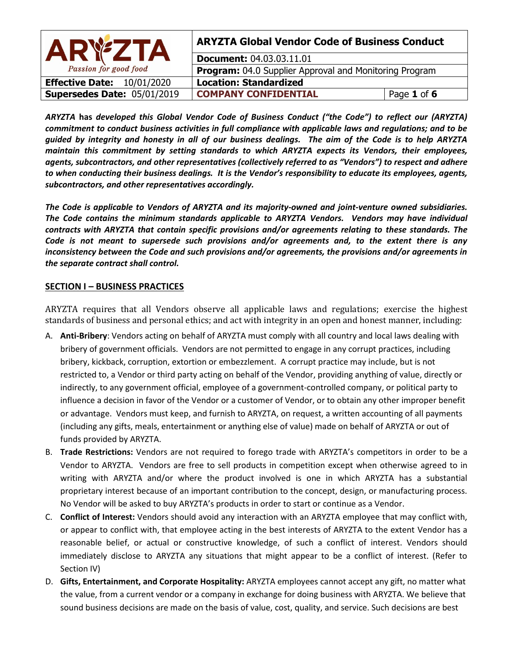| <b>ARYZTA</b>                        | <b>ARYZTA Global Vendor Code of Business Conduct</b>   |             |
|--------------------------------------|--------------------------------------------------------|-------------|
|                                      | <b>Document: 04.03.03.11.01</b>                        |             |
| Passion for good food                | Program: 04.0 Supplier Approval and Monitoring Program |             |
| <b>Effective Date:</b><br>10/01/2020 | <b>Location: Standardized</b>                          |             |
| Supersedes Date: 05/01/2019          | <b>COMPANY CONFIDENTIAL</b>                            | Page 1 of 6 |

*ARYZTA* **has** *developed this Global Vendor Code of Business Conduct ("the Code") to reflect our (ARYZTA) commitment to conduct business activities in full compliance with applicable laws and regulations; and to be guided by integrity and honesty in all of our business dealings. The aim of the Code is to help ARYZTA maintain this commitment by setting standards to which ARYZTA expects its Vendors, their employees, agents, subcontractors, and other representatives (collectively referred to as "Vendors") to respect and adhere to when conducting their business dealings. It is the Vendor's responsibility to educate its employees, agents, subcontractors, and other representatives accordingly.* 

*The Code is applicable to Vendors of ARYZTA and its majority-owned and joint-venture owned subsidiaries. The Code contains the minimum standards applicable to ARYZTA Vendors. Vendors may have individual contracts with ARYZTA that contain specific provisions and/or agreements relating to these standards. The Code is not meant to supersede such provisions and/or agreements and, to the extent there is any inconsistency between the Code and such provisions and/or agreements, the provisions and/or agreements in the separate contract shall control.*

## **SECTION I – BUSINESS PRACTICES**

ARYZTA requires that all Vendors observe all applicable laws and regulations; exercise the highest standards of business and personal ethics; and act with integrity in an open and honest manner, including:

- A. **Anti-Bribery**: Vendors acting on behalf of ARYZTA must comply with all country and local laws dealing with bribery of government officials. Vendors are not permitted to engage in any corrupt practices, including bribery, kickback, corruption, extortion or embezzlement. A corrupt practice may include, but is not restricted to, a Vendor or third party acting on behalf of the Vendor, providing anything of value, directly or indirectly, to any government official, employee of a government-controlled company, or political party to influence a decision in favor of the Vendor or a customer of Vendor, or to obtain any other improper benefit or advantage. Vendors must keep, and furnish to ARYZTA, on request, a written accounting of all payments (including any gifts, meals, entertainment or anything else of value) made on behalf of ARYZTA or out of funds provided by ARYZTA.
- B. **Trade Restrictions:** Vendors are not required to forego trade with ARYZTA's competitors in order to be a Vendor to ARYZTA. Vendors are free to sell products in competition except when otherwise agreed to in writing with ARYZTA and/or where the product involved is one in which ARYZTA has a substantial proprietary interest because of an important contribution to the concept, design, or manufacturing process. No Vendor will be asked to buy ARYZTA's products in order to start or continue as a Vendor.
- C. **Conflict of Interest:** Vendors should avoid any interaction with an ARYZTA employee that may conflict with, or appear to conflict with, that employee acting in the best interests of ARYZTA to the extent Vendor has a reasonable belief, or actual or constructive knowledge, of such a conflict of interest. Vendors should immediately disclose to ARYZTA any situations that might appear to be a conflict of interest. (Refer to Section IV)
- D. **Gifts, Entertainment, and Corporate Hospitality:** ARYZTA employees cannot accept any gift, no matter what the value, from a current vendor or a company in exchange for doing business with ARYZTA. We believe that sound business decisions are made on the basis of value, cost, quality, and service. Such decisions are best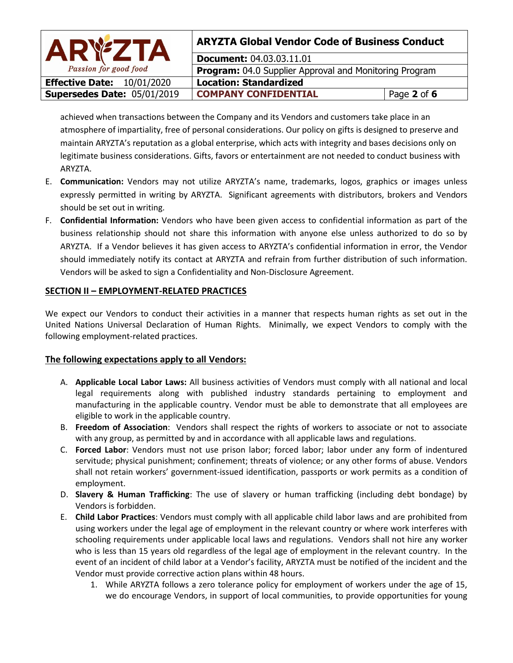| <b>ARYZTA</b>                        | <b>ARYZTA Global Vendor Code of Business Conduct</b>   |             |
|--------------------------------------|--------------------------------------------------------|-------------|
|                                      | <b>Document: 04.03.03.11.01</b>                        |             |
| Passion for good food                | Program: 04.0 Supplier Approval and Monitoring Program |             |
| <b>Effective Date:</b><br>10/01/2020 | <b>Location: Standardized</b>                          |             |
| Supersedes Date: 05/01/2019          | <b>COMPANY CONFIDENTIAL</b>                            | Page 2 of 6 |

achieved when transactions between the Company and its Vendors and customers take place in an atmosphere of impartiality, free of personal considerations. Our policy on gifts is designed to preserve and maintain ARYZTA's reputation as a global enterprise, which acts with integrity and bases decisions only on legitimate business considerations. Gifts, favors or entertainment are not needed to conduct business with ARYZTA.

- E. **Communication:** Vendors may not utilize ARYZTA's name, trademarks, logos, graphics or images unless expressly permitted in writing by ARYZTA. Significant agreements with distributors, brokers and Vendors should be set out in writing.
- F. **Confidential Information:** Vendors who have been given access to confidential information as part of the business relationship should not share this information with anyone else unless authorized to do so by ARYZTA. If a Vendor believes it has given access to ARYZTA's confidential information in error, the Vendor should immediately notify its contact at ARYZTA and refrain from further distribution of such information. Vendors will be asked to sign a Confidentiality and Non-Disclosure Agreement.

## **SECTION II – EMPLOYMENT-RELATED PRACTICES**

We expect our Vendors to conduct their activities in a manner that respects human rights as set out in the United Nations Universal Declaration of Human Rights. Minimally, we expect Vendors to comply with the following employment-related practices.

## **The following expectations apply to all Vendors:**

- A. **Applicable Local Labor Laws:** All business activities of Vendors must comply with all national and local legal requirements along with published industry standards pertaining to employment and manufacturing in the applicable country. Vendor must be able to demonstrate that all employees are eligible to work in the applicable country.
- B. **Freedom of Association**: Vendors shall respect the rights of workers to associate or not to associate with any group, as permitted by and in accordance with all applicable laws and regulations.
- C. **Forced Labor**: Vendors must not use prison labor; forced labor; labor under any form of indentured servitude; physical punishment; confinement; threats of violence; or any other forms of abuse. Vendors shall not retain workers' government-issued identification, passports or work permits as a condition of employment.
- D. **Slavery & Human Trafficking**: The use of slavery or human trafficking (including debt bondage) by Vendors is forbidden.
- E. **Child Labor Practices**: Vendors must comply with all applicable child labor laws and are prohibited from using workers under the legal age of employment in the relevant country or where work interferes with schooling requirements under applicable local laws and regulations. Vendors shall not hire any worker who is less than 15 years old regardless of the legal age of employment in the relevant country. In the event of an incident of child labor at a Vendor's facility, ARYZTA must be notified of the incident and the Vendor must provide corrective action plans within 48 hours.
	- 1. While ARYZTA follows a zero tolerance policy for employment of workers under the age of 15, we do encourage Vendors, in support of local communities, to provide opportunities for young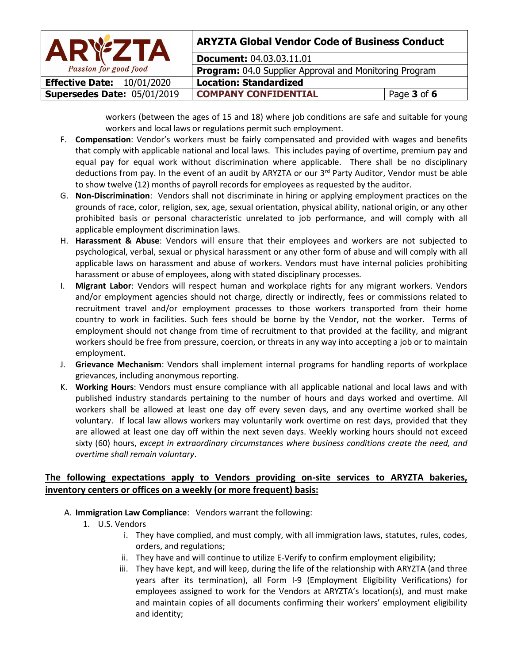| <b>ARYZTA</b>                        | <b>ARYZTA Global Vendor Code of Business Conduct</b>   |             |
|--------------------------------------|--------------------------------------------------------|-------------|
|                                      | <b>Document: 04.03.03.11.01</b>                        |             |
| Passion for good food                | Program: 04.0 Supplier Approval and Monitoring Program |             |
| <b>Effective Date:</b><br>10/01/2020 | <b>Location: Standardized</b>                          |             |
| Supersedes Date: 05/01/2019          | <b>COMPANY CONFIDENTIAL</b>                            | Page 3 of 6 |

workers (between the ages of 15 and 18) where job conditions are safe and suitable for young workers and local laws or regulations permit such employment.

- F. **Compensation**: Vendor's workers must be fairly compensated and provided with wages and benefits that comply with applicable national and local laws. This includes paying of overtime, premium pay and equal pay for equal work without discrimination where applicable. There shall be no disciplinary deductions from pay. In the event of an audit by ARYZTA or our  $3<sup>rd</sup>$  Party Auditor, Vendor must be able to show twelve (12) months of payroll records for employees as requested by the auditor.
- G. **Non-Discrimination**: Vendors shall not discriminate in hiring or applying employment practices on the grounds of race, color, religion, sex, age, sexual orientation, physical ability, national origin, or any other prohibited basis or personal characteristic unrelated to job performance, and will comply with all applicable employment discrimination laws.
- H. **Harassment & Abuse**: Vendors will ensure that their employees and workers are not subjected to psychological, verbal, sexual or physical harassment or any other form of abuse and will comply with all applicable laws on harassment and abuse of workers. Vendors must have internal policies prohibiting harassment or abuse of employees, along with stated disciplinary processes.
- I. **Migrant Labor**: Vendors will respect human and workplace rights for any migrant workers. Vendors and/or employment agencies should not charge, directly or indirectly, fees or commissions related to recruitment travel and/or employment processes to those workers transported from their home country to work in facilities. Such fees should be borne by the Vendor, not the worker. Terms of employment should not change from time of recruitment to that provided at the facility, and migrant workers should be free from pressure, coercion, or threats in any way into accepting a job or to maintain employment.
- J. **Grievance Mechanism**: Vendors shall implement internal programs for handling reports of workplace grievances, including anonymous reporting.
- K. **Working Hours**: Vendors must ensure compliance with all applicable national and local laws and with published industry standards pertaining to the number of hours and days worked and overtime. All workers shall be allowed at least one day off every seven days, and any overtime worked shall be voluntary. If local law allows workers may voluntarily work overtime on rest days, provided that they are allowed at least one day off within the next seven days. Weekly working hours should not exceed sixty (60) hours, *except in extraordinary circumstances where business conditions create the need, and overtime shall remain voluntary*.

# **The following expectations apply to Vendors providing on-site services to ARYZTA bakeries, inventory centers or offices on a weekly (or more frequent) basis:**

- A. **Immigration Law Compliance**: Vendors warrant the following:
	- 1. U.S. Vendors
		- i. They have complied, and must comply, with all immigration laws, statutes, rules, codes, orders, and regulations;
		- ii. They have and will continue to utilize E-Verify to confirm employment eligibility;
		- iii. They have kept, and will keep, during the life of the relationship with ARYZTA (and three years after its termination), all Form I-9 (Employment Eligibility Verifications) for employees assigned to work for the Vendors at ARYZTA's location(s), and must make and maintain copies of all documents confirming their workers' employment eligibility and identity;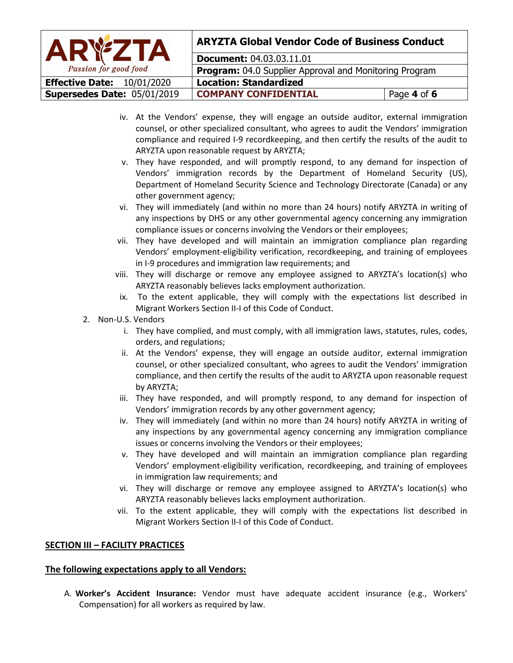| <b>ARYZTA</b>                     | <b>ARYZTA Global Vendor Code of Business Conduct</b>   |             |  |
|-----------------------------------|--------------------------------------------------------|-------------|--|
|                                   | <b>Document: 04.03.03.11.01</b>                        |             |  |
| Passion for good food             | Program: 04.0 Supplier Approval and Monitoring Program |             |  |
| <b>Effective Date: 10/01/2020</b> | <b>Location: Standardized</b>                          |             |  |
| Supersedes Date: 05/01/2019       | <b>COMPANY CONFIDENTIAL</b>                            | Page 4 of 6 |  |

- iv. At the Vendors' expense, they will engage an outside auditor, external immigration counsel, or other specialized consultant, who agrees to audit the Vendors' immigration compliance and required I-9 recordkeeping, and then certify the results of the audit to ARYZTA upon reasonable request by ARYZTA;
- v. They have responded, and will promptly respond, to any demand for inspection of Vendors' immigration records by the Department of Homeland Security (US), Department of Homeland Security Science and Technology Directorate (Canada) or any other government agency;
- vi. They will immediately (and within no more than 24 hours) notify ARYZTA in writing of any inspections by DHS or any other governmental agency concerning any immigration compliance issues or concerns involving the Vendors or their employees;
- vii. They have developed and will maintain an immigration compliance plan regarding Vendors' employment-eligibility verification, recordkeeping, and training of employees in I-9 procedures and immigration law requirements; and
- viii. They will discharge or remove any employee assigned to ARYZTA's location(s) who ARYZTA reasonably believes lacks employment authorization.
- ix. To the extent applicable, they will comply with the expectations list described in Migrant Workers Section II-I of this Code of Conduct.
- 2. Non-U.S. Vendors
	- i. They have complied, and must comply, with all immigration laws, statutes, rules, codes, orders, and regulations;
	- ii. At the Vendors' expense, they will engage an outside auditor, external immigration counsel, or other specialized consultant, who agrees to audit the Vendors' immigration compliance, and then certify the results of the audit to ARYZTA upon reasonable request by ARYZTA;
	- iii. They have responded, and will promptly respond, to any demand for inspection of Vendors' immigration records by any other government agency;
	- iv. They will immediately (and within no more than 24 hours) notify ARYZTA in writing of any inspections by any governmental agency concerning any immigration compliance issues or concerns involving the Vendors or their employees;
	- v. They have developed and will maintain an immigration compliance plan regarding Vendors' employment-eligibility verification, recordkeeping, and training of employees in immigration law requirements; and
	- vi. They will discharge or remove any employee assigned to ARYZTA's location(s) who ARYZTA reasonably believes lacks employment authorization.
	- vii. To the extent applicable, they will comply with the expectations list described in Migrant Workers Section II-I of this Code of Conduct.

# **SECTION III – FACILITY PRACTICES**

## **The following expectations apply to all Vendors:**

A. **Worker's Accident Insurance:** Vendor must have adequate accident insurance (e.g., Workers' Compensation) for all workers as required by law.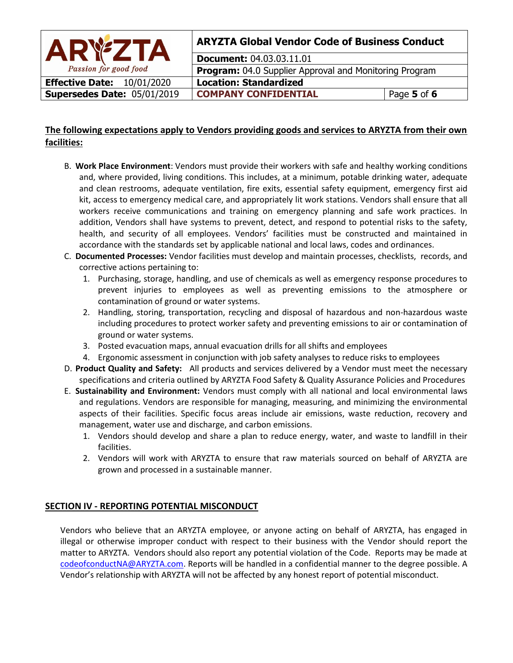

# **ARYZTA Global Vendor Code of Business Conduct**

**Document:** 04.03.03.11.01 **Program: 04.0 Supplier Approval and Monitoring Program Effective Date:** 10/01/2020 **Location: Standardized Supersedes Date:** 05/01/2019 **COMPANY CONFIDENTIAL** Page 5 of 6

# **The following expectations apply to Vendors providing goods and services to ARYZTA from their own facilities:**

- B. **Work Place Environment**: Vendors must provide their workers with safe and healthy working conditions and, where provided, living conditions. This includes, at a minimum, potable drinking water, adequate and clean restrooms, adequate ventilation, fire exits, essential safety equipment, emergency first aid kit, access to emergency medical care, and appropriately lit work stations. Vendors shall ensure that all workers receive communications and training on emergency planning and safe work practices. In addition, Vendors shall have systems to prevent, detect, and respond to potential risks to the safety, health, and security of all employees. Vendors' facilities must be constructed and maintained in accordance with the standards set by applicable national and local laws, codes and ordinances.
- C. **Documented Processes:** Vendor facilities must develop and maintain processes, checklists, records, and corrective actions pertaining to:
	- 1. Purchasing, storage, handling, and use of chemicals as well as emergency response procedures to prevent injuries to employees as well as preventing emissions to the atmosphere or contamination of ground or water systems.
	- 2. Handling, storing, transportation, recycling and disposal of hazardous and non-hazardous waste including procedures to protect worker safety and preventing emissions to air or contamination of ground or water systems.
	- 3. Posted evacuation maps, annual evacuation drills for all shifts and employees
	- 4. Ergonomic assessment in conjunction with job safety analyses to reduce risks to employees
- D. **Product Quality and Safety:** All products and services delivered by a Vendor must meet the necessary specifications and criteria outlined by ARYZTA Food Safety & Quality Assurance Policies and Procedures
- E. **Sustainability and Environment:** Vendors must comply with all national and local environmental laws and regulations. Vendors are responsible for managing, measuring, and minimizing the environmental aspects of their facilities. Specific focus areas include air emissions, waste reduction, recovery and management, water use and discharge, and carbon emissions.
	- 1. Vendors should develop and share a plan to reduce energy, water, and waste to landfill in their facilities.
	- 2. Vendors will work with ARYZTA to ensure that raw materials sourced on behalf of ARYZTA are grown and processed in a sustainable manner.

# **SECTION IV - REPORTING POTENTIAL MISCONDUCT**

Vendors who believe that an ARYZTA employee, or anyone acting on behalf of ARYZTA, has engaged in illegal or otherwise improper conduct with respect to their business with the Vendor should report the matter to ARYZTA. Vendors should also report any potential violation of the Code. Reports may be made at [codeofconductNA@ARYZTA.com.](mailto:codeofconductNA@ARYZTA.com) Reports will be handled in a confidential manner to the degree possible. A Vendor's relationship with ARYZTA will not be affected by any honest report of potential misconduct.